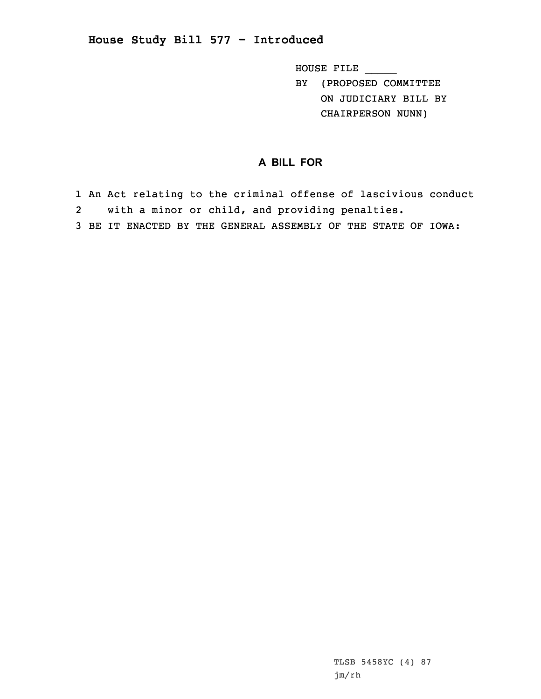## **House Study Bill 577 - Introduced**

HOUSE FILE \_\_\_\_\_ BY (PROPOSED COMMITTEE ON JUDICIARY BILL BY CHAIRPERSON NUNN)

## **A BILL FOR**

1 An Act relating to the criminal offense of lascivious conduct 2 with <sup>a</sup> minor or child, and providing penalties. 3 BE IT ENACTED BY THE GENERAL ASSEMBLY OF THE STATE OF IOWA: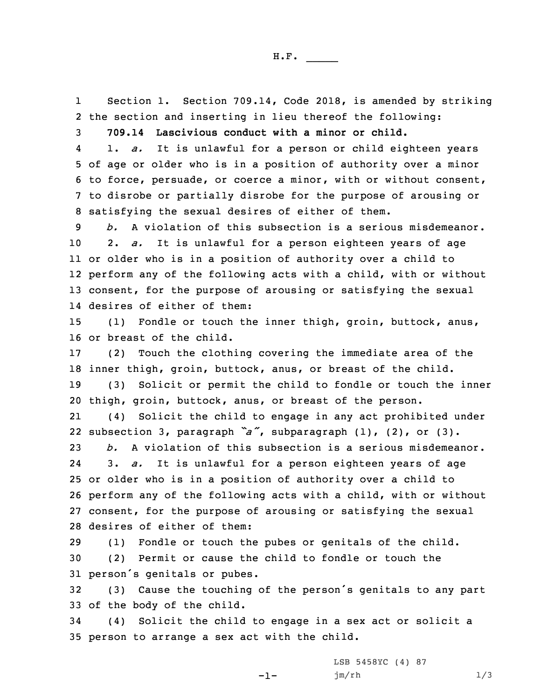1 Section 1. Section 709.14, Code 2018, is amended by striking 2 the section and inserting in lieu thereof the following:

3 **709.14 Lascivious conduct with <sup>a</sup> minor or child.**

4 1. *a.* It is unlawful for <sup>a</sup> person or child eighteen years of age or older who is in <sup>a</sup> position of authority over <sup>a</sup> minor to force, persuade, or coerce <sup>a</sup> minor, with or without consent, to disrobe or partially disrobe for the purpose of arousing or satisfying the sexual desires of either of them.

 *b.* A violation of this subsection is <sup>a</sup> serious misdemeanor. 2. *a.* It is unlawful for <sup>a</sup> person eighteen years of age or older who is in <sup>a</sup> position of authority over <sup>a</sup> child to perform any of the following acts with <sup>a</sup> child, with or without consent, for the purpose of arousing or satisfying the sexual desires of either of them:

15 (1) Fondle or touch the inner thigh, groin, buttock, anus, 16 or breast of the child.

 (2) Touch the clothing covering the immediate area of the inner thigh, groin, buttock, anus, or breast of the child. (3) Solicit or permit the child to fondle or touch the inner thigh, groin, buttock, anus, or breast of the person.

21 (4) Solicit the child to engage in any act prohibited under 22 subsection 3, paragraph *"a"*, subparagraph (1), (2), or (3).

 *b.* A violation of this subsection is <sup>a</sup> serious misdemeanor. 24 3. *a.* It is unlawful for <sup>a</sup> person eighteen years of age or older who is in <sup>a</sup> position of authority over <sup>a</sup> child to perform any of the following acts with <sup>a</sup> child, with or without consent, for the purpose of arousing or satisfying the sexual desires of either of them:

29 (1) Fondle or touch the pubes or genitals of the child. 30 (2) Permit or cause the child to fondle or touch the <sup>31</sup> person's genitals or pubes.

<sup>32</sup> (3) Cause the touching of the person's genitals to any part 33 of the body of the child.

34 (4) Solicit the child to engage in <sup>a</sup> sex act or solicit <sup>a</sup> 35 person to arrange <sup>a</sup> sex act with the child.

 $-1-$ 

LSB 5458YC (4) 87 jm/rh 1/3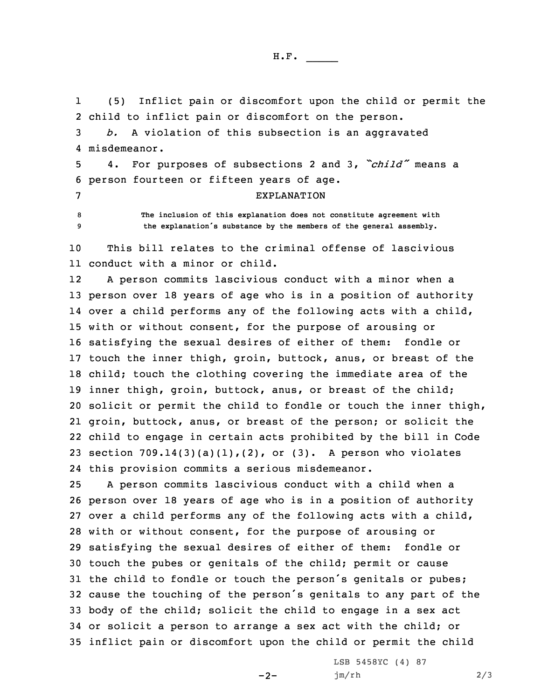H.F. \_\_\_\_\_

1 (5) Inflict pain or discomfort upon the child or permit the 2 child to inflict pain or discomfort on the person.

3 *b.* <sup>A</sup> violation of this subsection is an aggravated 4 misdemeanor.

<sup>5</sup> 4. For purposes of subsections <sup>2</sup> and 3, *"child"* means <sup>a</sup> 6 person fourteen or fifteen years of age.

7 EXPLANATION

8 **The inclusion of this explanation does not constitute agreement with** <sup>9</sup> **the explanation's substance by the members of the general assembly.**

10 This bill relates to the criminal offense of lascivious 11 conduct with a minor or child.

12 <sup>A</sup> person commits lascivious conduct with <sup>a</sup> minor when <sup>a</sup> person over 18 years of age who is in <sup>a</sup> position of authority over <sup>a</sup> child performs any of the following acts with <sup>a</sup> child, with or without consent, for the purpose of arousing or satisfying the sexual desires of either of them: fondle or touch the inner thigh, groin, buttock, anus, or breast of the child; touch the clothing covering the immediate area of the inner thigh, groin, buttock, anus, or breast of the child; solicit or permit the child to fondle or touch the inner thigh, groin, buttock, anus, or breast of the person; or solicit the child to engage in certain acts prohibited by the bill in Code 23 section  $709.14(3)(a)(1)$ , (2), or (3). A person who violates this provision commits <sup>a</sup> serious misdemeanor.

 <sup>A</sup> person commits lascivious conduct with <sup>a</sup> child when <sup>a</sup> person over 18 years of age who is in <sup>a</sup> position of authority over <sup>a</sup> child performs any of the following acts with <sup>a</sup> child, with or without consent, for the purpose of arousing or satisfying the sexual desires of either of them: fondle or touch the pubes or genitals of the child; permit or cause 31 the child to fondle or touch the person's genitals or pubes; cause the touching of the person's genitals to any part of the body of the child; solicit the child to engage in <sup>a</sup> sex act or solicit <sup>a</sup> person to arrange <sup>a</sup> sex act with the child; or inflict pain or discomfort upon the child or permit the child

 $-2-$ 

LSB 5458YC (4) 87 jm/rh 2/3